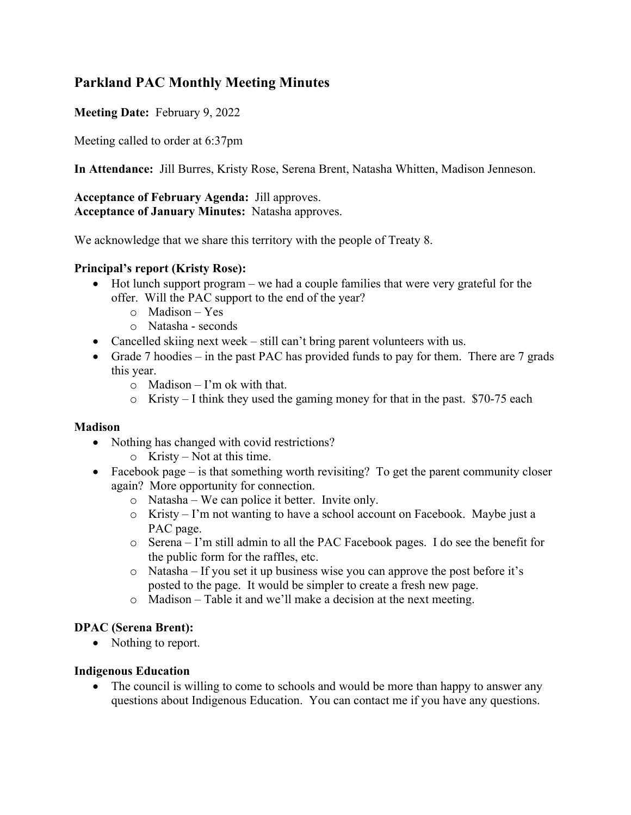# **Parkland PAC Monthly Meeting Minutes**

### **Meeting Date:** February 9, 2022

Meeting called to order at 6:37pm

**In Attendance:** Jill Burres, Kristy Rose, Serena Brent, Natasha Whitten, Madison Jenneson.

**Acceptance of February Agenda:** Jill approves. **Acceptance of January Minutes:** Natasha approves.

We acknowledge that we share this territory with the people of Treaty 8.

### **Principal's report (Kristy Rose):**

- Hot lunch support program we had a couple families that were very grateful for the offer. Will the PAC support to the end of the year?
	- o Madison Yes
	- o Natasha seconds
- Cancelled skiing next week still can't bring parent volunteers with us.
- Grade 7 hoodies in the past PAC has provided funds to pay for them. There are 7 grads this year.
	- $\circ$  Madison I'm ok with that.
	- $\circ$  Kristy I think they used the gaming money for that in the past. \$70-75 each

#### **Madison**

- Nothing has changed with covid restrictions?
	- o Kristy Not at this time.
- Facebook page is that something worth revisiting? To get the parent community closer again? More opportunity for connection.
	- o Natasha We can police it better. Invite only.
	- o Kristy I'm not wanting to have a school account on Facebook. Maybe just a PAC page.
	- o Serena I'm still admin to all the PAC Facebook pages. I do see the benefit for the public form for the raffles, etc.
	- o Natasha If you set it up business wise you can approve the post before it's posted to the page. It would be simpler to create a fresh new page.
	- o Madison Table it and we'll make a decision at the next meeting.

### **DPAC (Serena Brent):**

• Nothing to report.

### **Indigenous Education**

• The council is willing to come to schools and would be more than happy to answer any questions about Indigenous Education. You can contact me if you have any questions.